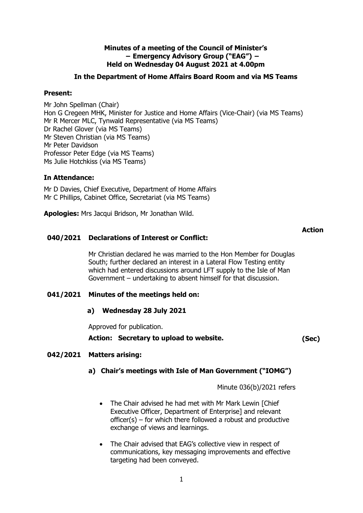### **Minutes of a meeting of the Council of Minister's − Emergency Advisory Group ("EAG") − Held on Wednesday 04 August 2021 at 4.00pm**

### **In the Department of Home Affairs Board Room and via MS Teams**

### **Present:**

Mr John Spellman (Chair) Hon G Cregeen MHK, Minister for Justice and Home Affairs (Vice-Chair) (via MS Teams) Mr R Mercer MLC, Tynwald Representative (via MS Teams) Dr Rachel Glover (via MS Teams) Mr Steven Christian (via MS Teams) Mr Peter Davidson Professor Peter Edge (via MS Teams) Ms Julie Hotchkiss (via MS Teams)

### **In Attendance:**

Mr D Davies, Chief Executive, Department of Home Affairs Mr C Phillips, Cabinet Office, Secretariat (via MS Teams)

**Apologies:** Mrs Jacqui Bridson, Mr Jonathan Wild.

### **Action**

# **040/2021 Declarations of Interest or Conflict:**

Mr Christian declared he was married to the Hon Member for Douglas South; further declared an interest in a Lateral Flow Testing entity which had entered discussions around LFT supply to the Isle of Man Government – undertaking to absent himself for that discussion.

# **041/2021 Minutes of the meetings held on:**

### **a) Wednesday 28 July 2021**

Approved for publication.

**Action: Secretary to upload to website. (Sec)**

# **042/2021 Matters arising:**

# **a) Chair's meetings with Isle of Man Government ("IOMG")**

Minute 036(b)/2021 refers

- The Chair advised he had met with Mr Mark Lewin [Chief Executive Officer, Department of Enterprise] and relevant officer(s) – for which there followed a robust and productive exchange of views and learnings.
- The Chair advised that EAG's collective view in respect of communications, key messaging improvements and effective targeting had been conveyed.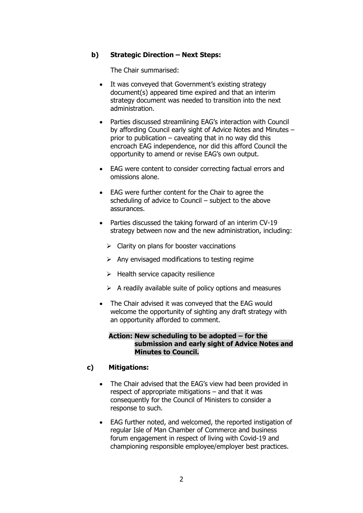# **b) Strategic Direction – Next Steps:**

The Chair summarised:

- It was conveyed that Government's existing strategy document(s) appeared time expired and that an interim strategy document was needed to transition into the next administration.
- Parties discussed streamlining EAG's interaction with Council by affording Council early sight of Advice Notes and Minutes – prior to publication – caveating that in no way did this encroach EAG independence, nor did this afford Council the opportunity to amend or revise EAG's own output.
- EAG were content to consider correcting factual errors and omissions alone.
- EAG were further content for the Chair to agree the scheduling of advice to Council – subject to the above assurances.
- Parties discussed the taking forward of an interim CV-19 strategy between now and the new administration, including:
	- $\triangleright$  Clarity on plans for booster vaccinations
	- $\triangleright$  Any envisaged modifications to testing regime
	- $\triangleright$  Health service capacity resilience
	- $\triangleright$  A readily available suite of policy options and measures
- The Chair advised it was conveyed that the EAG would welcome the opportunity of sighting any draft strategy with an opportunity afforded to comment.

#### **Action: New scheduling to be adopted – for the submission and early sight of Advice Notes and Minutes to Council.**

### **c) Mitigations:**

- The Chair advised that the EAG's view had been provided in respect of appropriate mitigations – and that it was consequently for the Council of Ministers to consider a response to such.
- EAG further noted, and welcomed, the reported instigation of regular Isle of Man Chamber of Commerce and business forum engagement in respect of living with Covid-19 and championing responsible employee/employer best practices.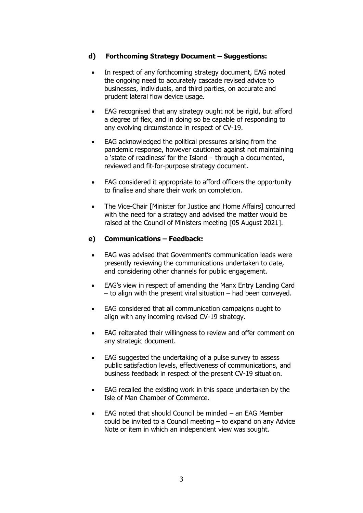# **d) Forthcoming Strategy Document – Suggestions:**

- In respect of any forthcoming strategy document, EAG noted the ongoing need to accurately cascade revised advice to businesses, individuals, and third parties, on accurate and prudent lateral flow device usage.
- EAG recognised that any strategy ought not be rigid, but afford a degree of flex, and in doing so be capable of responding to any evolving circumstance in respect of CV-19.
- EAG acknowledged the political pressures arising from the pandemic response, however cautioned against not maintaining a 'state of readiness' for the Island – through a documented, reviewed and fit-for-purpose strategy document.
- EAG considered it appropriate to afford officers the opportunity to finalise and share their work on completion.
- The Vice-Chair [Minister for Justice and Home Affairs] concurred with the need for a strategy and advised the matter would be raised at the Council of Ministers meeting [05 August 2021].

# **e) Communications – Feedback:**

- EAG was advised that Government's communication leads were presently reviewing the communications undertaken to date, and considering other channels for public engagement.
- EAG's view in respect of amending the Manx Entry Landing Card – to align with the present viral situation – had been conveyed.
- EAG considered that all communication campaigns ought to align with any incoming revised CV-19 strategy.
- EAG reiterated their willingness to review and offer comment on any strategic document.
- EAG suggested the undertaking of a pulse survey to assess public satisfaction levels, effectiveness of communications, and business feedback in respect of the present CV-19 situation.
- EAG recalled the existing work in this space undertaken by the Isle of Man Chamber of Commerce.
- EAG noted that should Council be minded  $-$  an EAG Member could be invited to a Council meeting – to expand on any Advice Note or item in which an independent view was sought.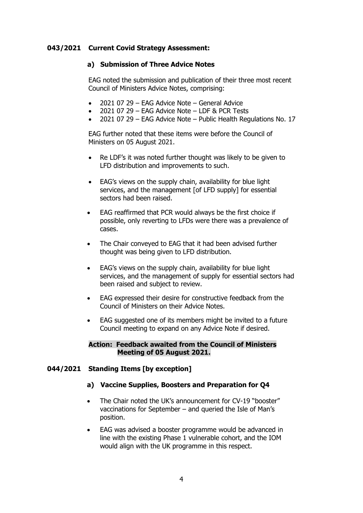### **043/2021 Current Covid Strategy Assessment:**

### **a) Submission of Three Advice Notes**

EAG noted the submission and publication of their three most recent Council of Ministers Advice Notes, comprising:

- 2021 07 29 EAG Advice Note General Advice
- 2021 07 29 EAG Advice Note LDF & PCR Tests
- 2021 07 29 EAG Advice Note Public Health Regulations No. 17

EAG further noted that these items were before the Council of Ministers on 05 August 2021.

- Re LDF's it was noted further thought was likely to be given to LFD distribution and improvements to such.
- EAG's views on the supply chain, availability for blue light services, and the management [of LFD supply] for essential sectors had been raised.
- EAG reaffirmed that PCR would always be the first choice if possible, only reverting to LFDs were there was a prevalence of cases.
- The Chair conveyed to EAG that it had been advised further thought was being given to LFD distribution.
- EAG's views on the supply chain, availability for blue light services, and the management of supply for essential sectors had been raised and subject to review.
- EAG expressed their desire for constructive feedback from the Council of Ministers on their Advice Notes.
- EAG suggested one of its members might be invited to a future Council meeting to expand on any Advice Note if desired.

### **Action: Feedback awaited from the Council of Ministers Meeting of 05 August 2021.**

### **044/2021 Standing Items [by exception]**

### **a) Vaccine Supplies, Boosters and Preparation for Q4**

- The Chair noted the UK's announcement for CV-19 "booster" vaccinations for September – and queried the Isle of Man's position.
- EAG was advised a booster programme would be advanced in line with the existing Phase 1 vulnerable cohort, and the IOM would align with the UK programme in this respect.